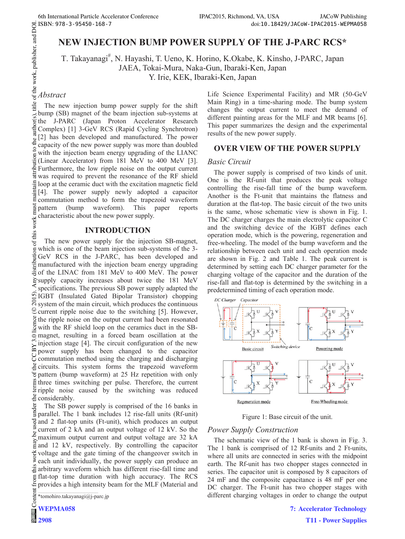# **NEW INJECTION BUMP POWER SUPPLY OF THE J-PARC RCS\***

T. Takayanagi<sup>#</sup> T. Takayanagi<sup>#</sup>, N. Hayashi, T. Ueno, K. Horino, K. Okabe, K. Kinsho, J-PARC, Japan JAEA, Tokai-Mura, Naka-Gun, Ibaraki-Ken, Japan Y. Irie, KEK, Ibaraki-Ken, Japan

## *Abstract*

 2015). Any distribution of this work must maintain attribution to the author(s), title of the work, publisher, and DOI. The new injection bump power supply for the shift bump (SB) magnet of the beam injection sub-systems at the J-PARC (Japan Proton Accelerator Research Complex) [1] 3-GeV RCS (Rapid Cycling Synchrotron) [2] has been developed and manufactured. The power capacity of the new power supply was more than doubled  $\overline{S}$ with the injection beam energy upgrading of the LIANC (Linear Accelerator) from 181 MeV to 400 MeV [3]. Furthermore, the low ripple noise on the output current was required to prevent the resonance of the RF shield loop at the ceramic duct with the excitation magnetic field [4]. The power supply newly adopted a capacitor maint commutation method to form the trapezoid waveform must pattern (bump waveform). This paper reports characteristic about the new power supply.

### **INTRODUCTION**

of this work The new power supply for the injection SB-magnet, which is one of the beam injection sub-systems of the 3- GeV RCS in the J-PARC, has been developed and manufactured with the injection beam energy upgrading of the LINAC from 181 MeV to 400 MeV. The power  $\frac{1}{2}$  supply capacity increases about twice the 181 MeV specifications. The previous SB power supply adapted the IGBT (Insulated Gated Bipolar Transistor) chopping  $\mathcal{S}_s$  system of the main circuit, which produces the continuous  $\mathcal{Q}$  current ripple noise due to the switching [5]. However, Content from this work may be used under the terms of the CC BY 3.0 licence ( $\epsilon$  $\frac{8}{2}$  the ripple noise on the output current had been resonated  $\frac{8}{29}$  with the RF shield loop on the ceramics duct in the SB- $\overline{\circ}$  magnet, resulting in a forced beam oscillation at the injection stage [4]. The circuit configuration of the new power supply has been changed to the capacitor  $\overline{C}$  power supply that seems commutation method using the charging and discharging circuits. This system forms the trapezoid waveform pattern (bump waveform) at 25 Hz repetition with only three times switching per pulse. Therefore, the current ripple noise caused by the switching was reduced  $\stackrel{\circ}{\equiv}$  considerably.

under The SB power supply is comprised of the 16 banks in parallel. The 1 bank includes 12 rise-fall units (Rf-unit) and 2 flat-top units (Ft-unit), which produces an output current of 2 kA and an output voltage of 12 kV. So the ತಿ maximum output current and output voltage are 32 kA and 12 kV, respectively. By controlling the capacitor voltage and the gate timing of the changeover switch in work  $\geq$  each unit individually, the power supply can produce an  $\stackrel{\sim}{\equiv}$  arbitrary waveform which has different rise-fall time and arbitrary waveform which has different rise-fall time and flat-top time duration with high accuracy. The RCS provides a high intensity beam for the MLF (Material and

\*tomohiro.takayanagi@j-parc.jp

**2908**

Life Science Experimental Facility) and MR (50-GeV Main Ring) in a time-sharing mode. The bump system changes the output current to meet the demand of different painting areas for the MLF and MR beams [6]. This paper summarizes the design and the experimental results of the new power supply.

### **OVER VIEW OF THE POWER SUPPLY**

#### *Basic Circuit*

The power supply is comprised of two kinds of unit. One is the Rf-unit that produces the peak voltage controlling the rise-fall time of the bump waveform. Another is the Ft-unit that maintains the flatness and duration at the flat-top. The basic circuit of the two units is the same, whose schematic view is shown in Fig. 1. The DC charger charges the main electrolytic capacitor C and the switching device of the IGBT defines each operation mode, which is the powering, regeneration and free-wheeling. The model of the bump waveform and the relationship between each unit and each operation mode are shown in Fig. 2 and Table 1. The peak current is determined by setting each DC charger parameter for the charging voltage of the capacitor and the duration of the rise-fall and flat-top is determined by the switching in a predetermined timing of each operation mode.



Figure 1: Base circuit of the unit.

### *Power Supply Construction*

The schematic view of the 1 bank is shown in Fig. 3. The 1 bank is comprised of 12 Rf-units and 2 Ft-units, where all units are connected in series with the midpoint earth. The Rf-unit has two chopper stages connected in series. The capacitor unit is composed by 8 capacitors of 24 mF and the composite capacitance is 48 mF per one DC charger. The Ft-unit has two chopper stages with different charging voltages in order to change the output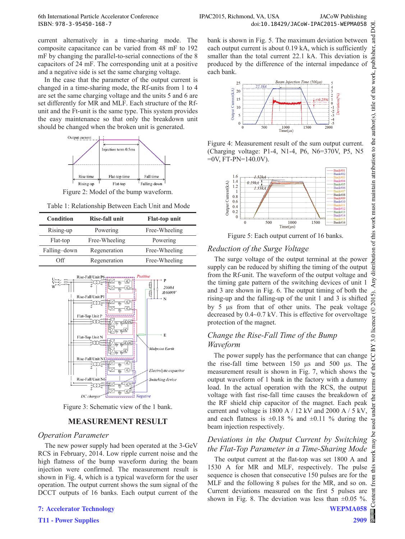current alternatively in a time-sharing mode. The composite capacitance can be varied from 48 mF to 192 mF by changing the parallel-to-serial connections of the 8 capacitors of 24 mF. The corresponding unit at a positive and a negative side is set the same charging voltage.

In the case that the parameter of the output current is changed in a time-sharing mode, the Rf-units from 1 to 4 are set the same charging voltage and the units 5 and 6 are set differently for MR and MLF. Each structure of the Rfunit and the Ft-unit is the same type. This system provides the easy maintenance so that only the breakdown unit should be changed when the broken unit is generated.



Figure 2: Model of the bump waveform.

| Table 1: Relationship Between Each Unit and Mode |  |  |
|--------------------------------------------------|--|--|
|--------------------------------------------------|--|--|

| Condition    | Rise-fall unit | <b>Flat-top unit</b> |
|--------------|----------------|----------------------|
| Rising-up    | Powering       | Free-Wheeling        |
| Flat-top     | Free-Wheeling  | Powering             |
| Falling-down | Regeneration   | Free-Wheeling        |
| Off          | Regeneration   | Free-Wheeling        |



Figure 3: Schematic view of the 1 bank.

## **MEASUREMENT RESULT**

### *Operation Parameter*

The new power supply had been operated at the 3-GeV RCS in February, 2014. Low ripple current noise and the high flatness of the bump waveform during the beam injection were confirmed. The measurement result is shown in Fig. 4, which is a typical waveform for the user operation. The output current shows the sum signal of the DCCT outputs of 16 banks. Each output current of the

**7: Accelerator Technology**

**T11 - Power Supplies**

bank is shown in Fig. 5. The maximum deviation between each output current is about 0.19 kA, which is sufficiently smaller than the total current 22.1 kA. This deviation is produced by the difference of the internal impedance of each bank.



Figure 4: Measurement result of the sum output current. (Charging voltage: P1-4, N1-4, P6, N6=370V, P5, N5  $=0V$ , FT-PN $=140.0V$ ).



Figure 5: Each output current of 16 banks.

## *Reduction of the Surge Voltage*

The surge voltage of the output terminal at the power supply can be reduced by shifting the timing of the output from the Rf-unit. The waveform of the output voltage and the timing gate pattern of the switching devices of unit 1 and 3 are shown in Fig. 6. The output timing of both the rising-up and the falling-up of the unit 1 and 3 is shifted by 5  $\mu$ s from that of other units. The peak voltage decreased by 0.4~0.7 kV. This is effective for overvoltage protection of the magnet.

## *Change the Rise-Fall Time of the Bump Waveform*

The power supply has the performance that can change the rise-fall time between  $150 \text{ }\mu\text{s}$  and  $500 \text{ }\mu\text{s}$ . The measurement result is shown in Fig. 7, which shows the output waveform of 1 bank in the factory with a dummy load. In the actual operation with the RCS, the output voltage with fast rise-fall time causes the breakdown of the RF shield chip capacitor of the magnet. Each peak current and voltage is  $1800 \text{ A}$  /  $12 \text{ kV}$  and  $2000 \text{ A}$  /  $5 \text{ kV}$ , and each flatness is  $\pm 0.18$  % and  $\pm 0.11$  % during the beam injection respectively.

## *Deviations in the Output Current by Switching the Flat-Top Parameter in a Time-Sharing Mode*

The output current at the flat-top was set 1800 A and 1530 A for MR and MLF, respectively. The pulse sequence is chosen that consecutive 150 pulses are for the  $\overline{E}$ MLF and the following 8 pulses for the MR, and so on. Current deviations measured on the first 5 pulses are shown in Fig. 8. The deviation was less than  $\pm 0.05$  %.

may work:

 $\overline{a}$  $\cot$ 

**WEPMA058**